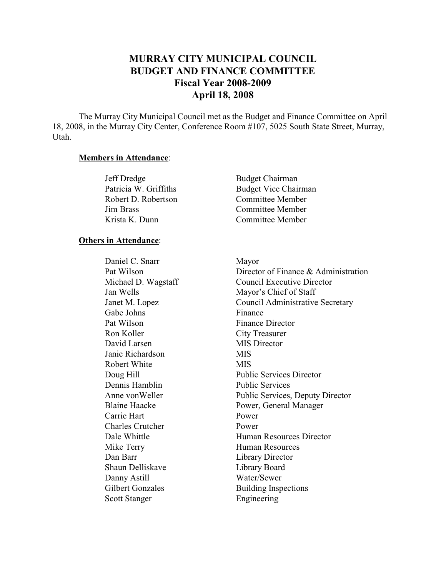# **MURRAY CITY MUNICIPAL COUNCIL BUDGET AND FINANCE COMMITTEE Fiscal Year 2008-2009 April 18, 2008**

The Murray City Municipal Council met as the Budget and Finance Committee on April 18, 2008, in the Murray City Center, Conference Room #107, 5025 South State Street, Murray, Utah.

#### **Members in Attendance**:

| Jeff Dredge           | <b>Budget Chairman</b>      |
|-----------------------|-----------------------------|
| Patricia W. Griffiths | <b>Budget Vice Chairman</b> |
| Robert D. Robertson   | Committee Member            |
| Jim Brass             | Committee Member            |
| Krista K. Dunn        | Committee Member            |

#### **Others in Attendance**:

Daniel C. Snarr Mayor Gabe Johns Finance Pat Wilson Finance Director Ron Koller City Treasurer David Larsen MIS Director Janie Richardson MIS Robert White MIS Dennis Hamblin Public Services Carrie Hart Power Charles Crutcher Power Mike Terry Human Resources Dan Barr Library Director Shaun Delliskave Library Board Danny Astill Water/Sewer Scott Stanger Engineering

Pat Wilson Director of Finance & Administration Michael D. Wagstaff Council Executive Director Jan Wells Mayor's Chief of Staff Janet M. Lopez Council Administrative Secretary Doug Hill Public Services Director Anne von Weller Public Services, Deputy Director Blaine Haacke Power, General Manager Dale Whittle **Human Resources** Director Gilbert Gonzales Building Inspections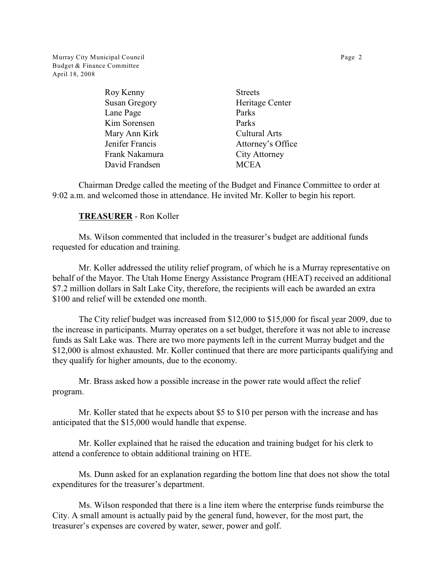Murray City Municipal Council **Page 2** Page 2 Budget & Finance Committee April 18, 2008

| Roy Kenny            | <b>Streets</b>       |
|----------------------|----------------------|
| <b>Susan Gregory</b> | Heritage Center      |
| Lane Page            | Parks                |
| Kim Sorensen         | Parks                |
| Mary Ann Kirk        | <b>Cultural Arts</b> |
| Jenifer Francis      | Attorney's Office    |
| Frank Nakamura       | <b>City Attorney</b> |
| David Frandsen       | <b>MCEA</b>          |
|                      |                      |

Chairman Dredge called the meeting of the Budget and Finance Committee to order at 9:02 a.m. and welcomed those in attendance. He invited Mr. Koller to begin his report.

## **TREASURER** - Ron Koller

Ms. Wilson commented that included in the treasurer's budget are additional funds requested for education and training.

Mr. Koller addressed the utility relief program, of which he is a Murray representative on behalf of the Mayor. The Utah Home Energy Assistance Program (HEAT) received an additional \$7.2 million dollars in Salt Lake City, therefore, the recipients will each be awarded an extra \$100 and relief will be extended one month.

The City relief budget was increased from \$12,000 to \$15,000 for fiscal year 2009, due to the increase in participants. Murray operates on a set budget, therefore it was not able to increase funds as Salt Lake was. There are two more payments left in the current Murray budget and the \$12,000 is almost exhausted. Mr. Koller continued that there are more participants qualifying and they qualify for higher amounts, due to the economy.

Mr. Brass asked how a possible increase in the power rate would affect the relief program.

Mr. Koller stated that he expects about \$5 to \$10 per person with the increase and has anticipated that the \$15,000 would handle that expense.

Mr. Koller explained that he raised the education and training budget for his clerk to attend a conference to obtain additional training on HTE.

Ms. Dunn asked for an explanation regarding the bottom line that does not show the total expenditures for the treasurer's department.

Ms. Wilson responded that there is a line item where the enterprise funds reimburse the City. A small amount is actually paid by the general fund, however, for the most part, the treasurer's expenses are covered by water, sewer, power and golf.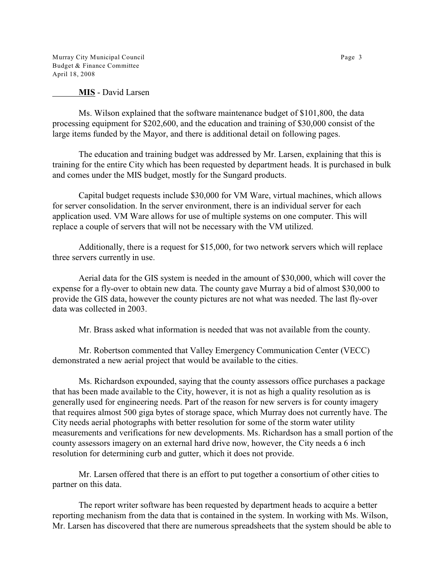Murray City Municipal Council **Page 3** Page 3 Budget & Finance Committee April 18, 2008

**MIS** - David Larsen

Ms. Wilson explained that the software maintenance budget of \$101,800, the data processing equipment for \$202,600, and the education and training of \$30,000 consist of the large items funded by the Mayor, and there is additional detail on following pages.

The education and training budget was addressed by Mr. Larsen, explaining that this is training for the entire City which has been requested by department heads. It is purchased in bulk and comes under the MIS budget, mostly for the Sungard products.

Capital budget requests include \$30,000 for VM Ware, virtual machines, which allows for server consolidation. In the server environment, there is an individual server for each application used. VM Ware allows for use of multiple systems on one computer. This will replace a couple of servers that will not be necessary with the VM utilized.

Additionally, there is a request for \$15,000, for two network servers which will replace three servers currently in use.

Aerial data for the GIS system is needed in the amount of \$30,000, which will cover the expense for a fly-over to obtain new data. The county gave Murray a bid of almost \$30,000 to provide the GIS data, however the county pictures are not what was needed. The last fly-over data was collected in 2003.

Mr. Brass asked what information is needed that was not available from the county.

Mr. Robertson commented that Valley Emergency Communication Center (VECC) demonstrated a new aerial project that would be available to the cities.

Ms. Richardson expounded, saying that the county assessors office purchases a package that has been made available to the City, however, it is not as high a quality resolution as is generally used for engineering needs. Part of the reason for new servers is for county imagery that requires almost 500 giga bytes of storage space, which Murray does not currently have. The City needs aerial photographs with better resolution for some of the storm water utility measurements and verifications for new developments. Ms. Richardson has a small portion of the county assessors imagery on an external hard drive now, however, the City needs a 6 inch resolution for determining curb and gutter, which it does not provide.

Mr. Larsen offered that there is an effort to put together a consortium of other cities to partner on this data.

The report writer software has been requested by department heads to acquire a better reporting mechanism from the data that is contained in the system. In working with Ms. Wilson, Mr. Larsen has discovered that there are numerous spreadsheets that the system should be able to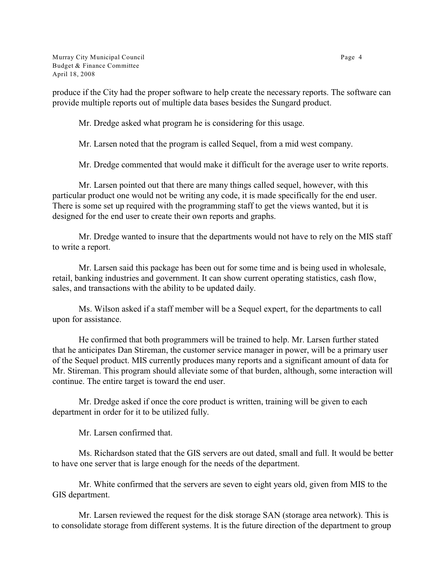Murray City Municipal Council **Page 4** and the state of the state of the Page 4 and the Page 4 and the Page 4 and the Page 4 and the Page 4 and the Page 4 and the Page 4 and the Page 4 and the Page 4 and the Page 4 and the Budget & Finance Committee April 18, 2008

produce if the City had the proper software to help create the necessary reports. The software can provide multiple reports out of multiple data bases besides the Sungard product.

Mr. Dredge asked what program he is considering for this usage.

Mr. Larsen noted that the program is called Sequel, from a mid west company.

Mr. Dredge commented that would make it difficult for the average user to write reports.

Mr. Larsen pointed out that there are many things called sequel, however, with this particular product one would not be writing any code, it is made specifically for the end user. There is some set up required with the programming staff to get the views wanted, but it is designed for the end user to create their own reports and graphs.

Mr. Dredge wanted to insure that the departments would not have to rely on the MIS staff to write a report.

Mr. Larsen said this package has been out for some time and is being used in wholesale, retail, banking industries and government. It can show current operating statistics, cash flow, sales, and transactions with the ability to be updated daily.

Ms. Wilson asked if a staff member will be a Sequel expert, for the departments to call upon for assistance.

He confirmed that both programmers will be trained to help. Mr. Larsen further stated that he anticipates Dan Stireman, the customer service manager in power, will be a primary user of the Sequel product. MIS currently produces many reports and a significant amount of data for Mr. Stireman. This program should alleviate some of that burden, although, some interaction will continue. The entire target is toward the end user.

Mr. Dredge asked if once the core product is written, training will be given to each department in order for it to be utilized fully.

Mr. Larsen confirmed that.

Ms. Richardson stated that the GIS servers are out dated, small and full. It would be better to have one server that is large enough for the needs of the department.

Mr. White confirmed that the servers are seven to eight years old, given from MIS to the GIS department.

Mr. Larsen reviewed the request for the disk storage SAN (storage area network). This is to consolidate storage from different systems. It is the future direction of the department to group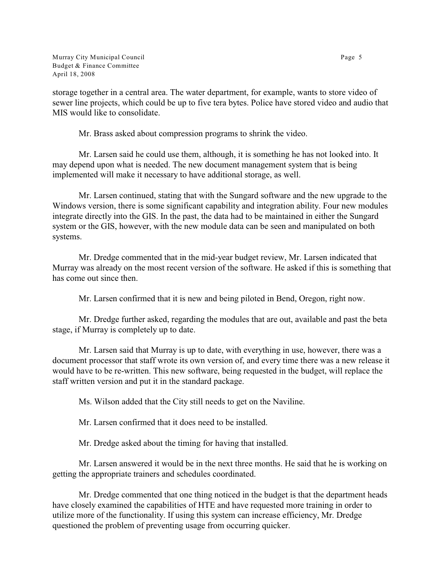storage together in a central area. The water department, for example, wants to store video of sewer line projects, which could be up to five tera bytes. Police have stored video and audio that MIS would like to consolidate.

Mr. Brass asked about compression programs to shrink the video.

Mr. Larsen said he could use them, although, it is something he has not looked into. It may depend upon what is needed. The new document management system that is being implemented will make it necessary to have additional storage, as well.

Mr. Larsen continued, stating that with the Sungard software and the new upgrade to the Windows version, there is some significant capability and integration ability. Four new modules integrate directly into the GIS. In the past, the data had to be maintained in either the Sungard system or the GIS, however, with the new module data can be seen and manipulated on both systems.

Mr. Dredge commented that in the mid-year budget review, Mr. Larsen indicated that Murray was already on the most recent version of the software. He asked if this is something that has come out since then.

Mr. Larsen confirmed that it is new and being piloted in Bend, Oregon, right now.

Mr. Dredge further asked, regarding the modules that are out, available and past the beta stage, if Murray is completely up to date.

Mr. Larsen said that Murray is up to date, with everything in use, however, there was a document processor that staff wrote its own version of, and every time there was a new release it would have to be re-written. This new software, being requested in the budget, will replace the staff written version and put it in the standard package.

Ms. Wilson added that the City still needs to get on the Naviline.

Mr. Larsen confirmed that it does need to be installed.

Mr. Dredge asked about the timing for having that installed.

Mr. Larsen answered it would be in the next three months. He said that he is working on getting the appropriate trainers and schedules coordinated.

Mr. Dredge commented that one thing noticed in the budget is that the department heads have closely examined the capabilities of HTE and have requested more training in order to utilize more of the functionality. If using this system can increase efficiency, Mr. Dredge questioned the problem of preventing usage from occurring quicker.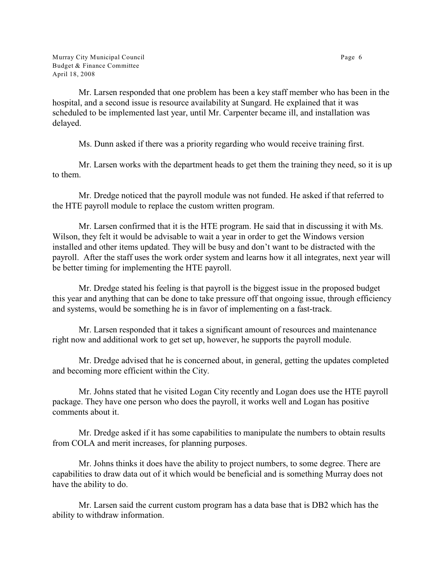Mr. Larsen responded that one problem has been a key staff member who has been in the hospital, and a second issue is resource availability at Sungard. He explained that it was scheduled to be implemented last year, until Mr. Carpenter became ill, and installation was delayed.

Ms. Dunn asked if there was a priority regarding who would receive training first.

Mr. Larsen works with the department heads to get them the training they need, so it is up to them.

Mr. Dredge noticed that the payroll module was not funded. He asked if that referred to the HTE payroll module to replace the custom written program.

Mr. Larsen confirmed that it is the HTE program. He said that in discussing it with Ms. Wilson, they felt it would be advisable to wait a year in order to get the Windows version installed and other items updated. They will be busy and don't want to be distracted with the payroll. After the staff uses the work order system and learns how it all integrates, next year will be better timing for implementing the HTE payroll.

Mr. Dredge stated his feeling is that payroll is the biggest issue in the proposed budget this year and anything that can be done to take pressure off that ongoing issue, through efficiency and systems, would be something he is in favor of implementing on a fast-track.

Mr. Larsen responded that it takes a significant amount of resources and maintenance right now and additional work to get set up, however, he supports the payroll module.

Mr. Dredge advised that he is concerned about, in general, getting the updates completed and becoming more efficient within the City.

Mr. Johns stated that he visited Logan City recently and Logan does use the HTE payroll package. They have one person who does the payroll, it works well and Logan has positive comments about it.

Mr. Dredge asked if it has some capabilities to manipulate the numbers to obtain results from COLA and merit increases, for planning purposes.

Mr. Johns thinks it does have the ability to project numbers, to some degree. There are capabilities to draw data out of it which would be beneficial and is something Murray does not have the ability to do.

Mr. Larsen said the current custom program has a data base that is DB2 which has the ability to withdraw information.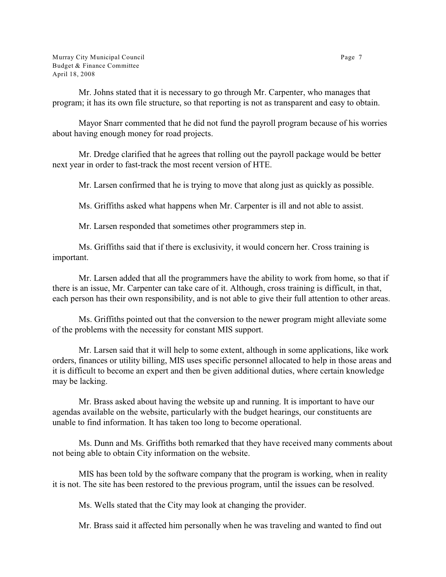Murray City Municipal Council **Page 7** and  $P$  and  $P$  and  $P$  and  $P$  and  $P$  and  $P$  and  $P$  and  $P$  and  $P$  and  $P$  and  $P$  and  $P$  and  $P$  and  $P$  and  $P$  and  $P$  and  $P$  and  $P$  and  $P$  and  $P$  and  $P$  and  $P$  and  $P$ Budget & Finance Committee April 18, 2008

Mr. Johns stated that it is necessary to go through Mr. Carpenter, who manages that program; it has its own file structure, so that reporting is not as transparent and easy to obtain.

Mayor Snarr commented that he did not fund the payroll program because of his worries about having enough money for road projects.

Mr. Dredge clarified that he agrees that rolling out the payroll package would be better next year in order to fast-track the most recent version of HTE.

Mr. Larsen confirmed that he is trying to move that along just as quickly as possible.

Ms. Griffiths asked what happens when Mr. Carpenter is ill and not able to assist.

Mr. Larsen responded that sometimes other programmers step in.

Ms. Griffiths said that if there is exclusivity, it would concern her. Cross training is important.

Mr. Larsen added that all the programmers have the ability to work from home, so that if there is an issue, Mr. Carpenter can take care of it. Although, cross training is difficult, in that, each person has their own responsibility, and is not able to give their full attention to other areas.

Ms. Griffiths pointed out that the conversion to the newer program might alleviate some of the problems with the necessity for constant MIS support.

Mr. Larsen said that it will help to some extent, although in some applications, like work orders, finances or utility billing, MIS uses specific personnel allocated to help in those areas and it is difficult to become an expert and then be given additional duties, where certain knowledge may be lacking.

Mr. Brass asked about having the website up and running. It is important to have our agendas available on the website, particularly with the budget hearings, our constituents are unable to find information. It has taken too long to become operational.

Ms. Dunn and Ms. Griffiths both remarked that they have received many comments about not being able to obtain City information on the website.

MIS has been told by the software company that the program is working, when in reality it is not. The site has been restored to the previous program, until the issues can be resolved.

Ms. Wells stated that the City may look at changing the provider.

Mr. Brass said it affected him personally when he was traveling and wanted to find out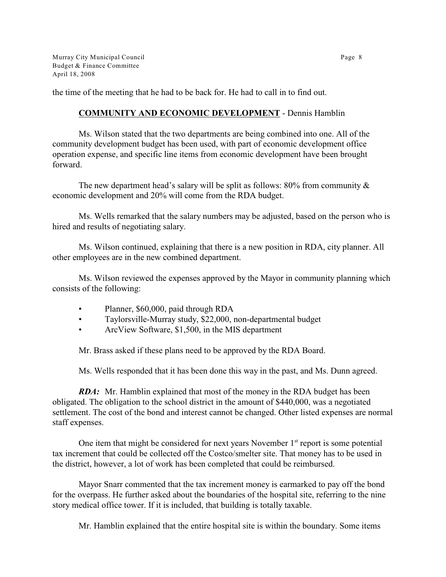Murray City Municipal Council **Page 8** and the control of the control of the control of the control of the control of the control of the control of the control of the control of the control of the control of the control of Budget & Finance Committee April 18, 2008

the time of the meeting that he had to be back for. He had to call in to find out.

# **COMMUNITY AND ECONOMIC DEVELOPMENT** - Dennis Hamblin

Ms. Wilson stated that the two departments are being combined into one. All of the community development budget has been used, with part of economic development office operation expense, and specific line items from economic development have been brought forward.

The new department head's salary will be split as follows:  $80\%$  from community  $\&$ economic development and 20% will come from the RDA budget.

Ms. Wells remarked that the salary numbers may be adjusted, based on the person who is hired and results of negotiating salary.

Ms. Wilson continued, explaining that there is a new position in RDA, city planner. All other employees are in the new combined department.

Ms. Wilson reviewed the expenses approved by the Mayor in community planning which consists of the following:

- Planner, \$60,000, paid through RDA
- Taylorsville-Murray study, \$22,000, non-departmental budget
- ArcView Software, \$1,500, in the MIS department

Mr. Brass asked if these plans need to be approved by the RDA Board.

Ms. Wells responded that it has been done this way in the past, and Ms. Dunn agreed.

*RDA:* Mr. Hamblin explained that most of the money in the RDA budget has been obligated. The obligation to the school district in the amount of \$440,000, was a negotiated settlement. The cost of the bond and interest cannot be changed. Other listed expenses are normal staff expenses.

One item that might be considered for next years November  $1<sup>st</sup>$  report is some potential tax increment that could be collected off the Costco/smelter site. That money has to be used in the district, however, a lot of work has been completed that could be reimbursed.

Mayor Snarr commented that the tax increment money is earmarked to pay off the bond for the overpass. He further asked about the boundaries of the hospital site, referring to the nine story medical office tower. If it is included, that building is totally taxable.

Mr. Hamblin explained that the entire hospital site is within the boundary. Some items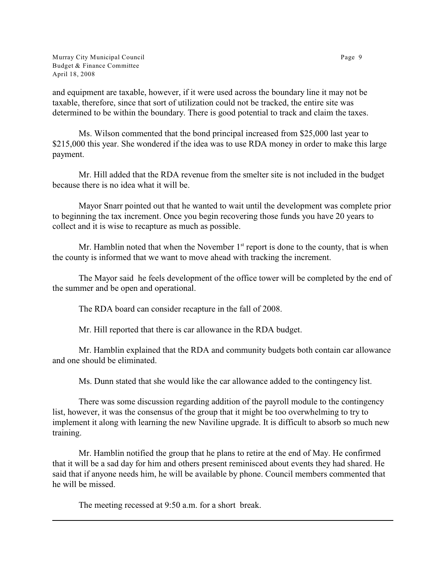Murray City Municipal Council **Page 9** and the control of the control of the Page 9 Budget & Finance Committee April 18, 2008

and equipment are taxable, however, if it were used across the boundary line it may not be taxable, therefore, since that sort of utilization could not be tracked, the entire site was determined to be within the boundary. There is good potential to track and claim the taxes.

Ms. Wilson commented that the bond principal increased from \$25,000 last year to \$215,000 this year. She wondered if the idea was to use RDA money in order to make this large payment.

Mr. Hill added that the RDA revenue from the smelter site is not included in the budget because there is no idea what it will be.

Mayor Snarr pointed out that he wanted to wait until the development was complete prior to beginning the tax increment. Once you begin recovering those funds you have 20 years to collect and it is wise to recapture as much as possible.

Mr. Hamblin noted that when the November  $1<sup>st</sup>$  report is done to the county, that is when the county is informed that we want to move ahead with tracking the increment.

The Mayor said he feels development of the office tower will be completed by the end of the summer and be open and operational.

The RDA board can consider recapture in the fall of 2008.

Mr. Hill reported that there is car allowance in the RDA budget.

Mr. Hamblin explained that the RDA and community budgets both contain car allowance and one should be eliminated.

Ms. Dunn stated that she would like the car allowance added to the contingency list.

There was some discussion regarding addition of the payroll module to the contingency list, however, it was the consensus of the group that it might be too overwhelming to try to implement it along with learning the new Naviline upgrade. It is difficult to absorb so much new training.

Mr. Hamblin notified the group that he plans to retire at the end of May. He confirmed that it will be a sad day for him and others present reminisced about events they had shared. He said that if anyone needs him, he will be available by phone. Council members commented that he will be missed.

The meeting recessed at 9:50 a.m. for a short break.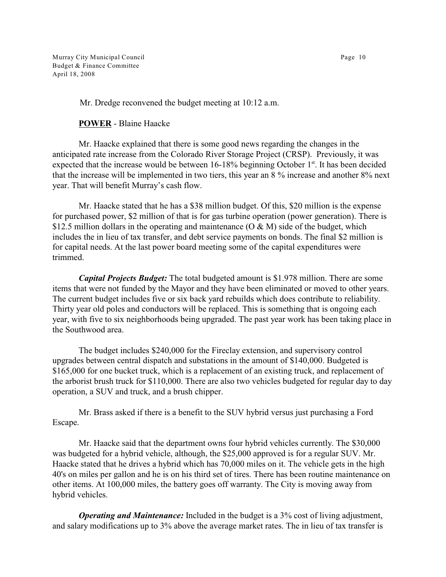Murray City Municipal Council Page 10 Budget & Finance Committee April 18, 2008

Mr. Dredge reconvened the budget meeting at 10:12 a.m.

**POWER** - Blaine Haacke

Mr. Haacke explained that there is some good news regarding the changes in the anticipated rate increase from the Colorado River Storage Project (CRSP). Previously, it was expected that the increase would be between  $16-18%$  beginning October  $1<sup>st</sup>$ . It has been decided that the increase will be implemented in two tiers, this year an 8 % increase and another 8% next year. That will benefit Murray's cash flow.

Mr. Haacke stated that he has a \$38 million budget. Of this, \$20 million is the expense for purchased power, \$2 million of that is for gas turbine operation (power generation). There is \$12.5 million dollars in the operating and maintenance ( $O \& M$ ) side of the budget, which includes the in lieu of tax transfer, and debt service payments on bonds. The final \$2 million is for capital needs. At the last power board meeting some of the capital expenditures were trimmed.

*Capital Projects Budget:* The total budgeted amount is \$1.978 million. There are some items that were not funded by the Mayor and they have been eliminated or moved to other years. The current budget includes five or six back yard rebuilds which does contribute to reliability. Thirty year old poles and conductors will be replaced. This is something that is ongoing each year, with five to six neighborhoods being upgraded. The past year work has been taking place in the Southwood area.

The budget includes \$240,000 for the Fireclay extension, and supervisory control upgrades between central dispatch and substations in the amount of \$140,000. Budgeted is \$165,000 for one bucket truck, which is a replacement of an existing truck, and replacement of the arborist brush truck for \$110,000. There are also two vehicles budgeted for regular day to day operation, a SUV and truck, and a brush chipper.

Mr. Brass asked if there is a benefit to the SUV hybrid versus just purchasing a Ford Escape.

Mr. Haacke said that the department owns four hybrid vehicles currently. The \$30,000 was budgeted for a hybrid vehicle, although, the \$25,000 approved is for a regular SUV. Mr. Haacke stated that he drives a hybrid which has 70,000 miles on it. The vehicle gets in the high 40's on miles per gallon and he is on his third set of tires. There has been routine maintenance on other items. At 100,000 miles, the battery goes off warranty. The City is moving away from hybrid vehicles.

*Operating and Maintenance:* Included in the budget is a 3% cost of living adjustment, and salary modifications up to 3% above the average market rates. The in lieu of tax transfer is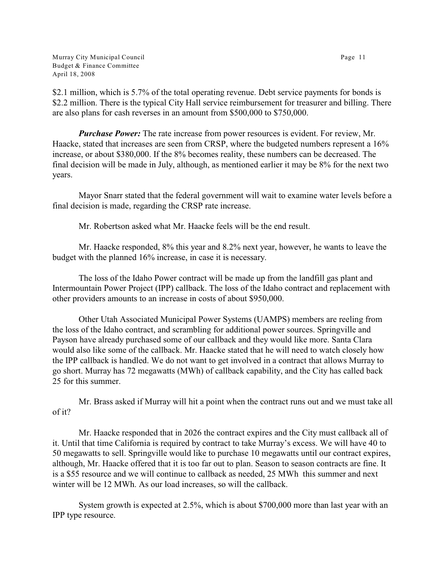Murray City Municipal Council Page 11 Budget & Finance Committee April 18, 2008

\$2.1 million, which is 5.7% of the total operating revenue. Debt service payments for bonds is \$2.2 million. There is the typical City Hall service reimbursement for treasurer and billing. There are also plans for cash reverses in an amount from \$500,000 to \$750,000.

*Purchase Power:* The rate increase from power resources is evident. For review, Mr. Haacke, stated that increases are seen from CRSP, where the budgeted numbers represent a 16% increase, or about \$380,000. If the 8% becomes reality, these numbers can be decreased. The final decision will be made in July, although, as mentioned earlier it may be 8% for the next two years.

Mayor Snarr stated that the federal government will wait to examine water levels before a final decision is made, regarding the CRSP rate increase.

Mr. Robertson asked what Mr. Haacke feels will be the end result.

Mr. Haacke responded, 8% this year and 8.2% next year, however, he wants to leave the budget with the planned 16% increase, in case it is necessary.

The loss of the Idaho Power contract will be made up from the landfill gas plant and Intermountain Power Project (IPP) callback. The loss of the Idaho contract and replacement with other providers amounts to an increase in costs of about \$950,000.

Other Utah Associated Municipal Power Systems (UAMPS) members are reeling from the loss of the Idaho contract, and scrambling for additional power sources. Springville and Payson have already purchased some of our callback and they would like more. Santa Clara would also like some of the callback. Mr. Haacke stated that he will need to watch closely how the IPP callback is handled. We do not want to get involved in a contract that allows Murray to go short. Murray has 72 megawatts (MWh) of callback capability, and the City has called back 25 for this summer.

Mr. Brass asked if Murray will hit a point when the contract runs out and we must take all of it?

Mr. Haacke responded that in 2026 the contract expires and the City must callback all of it. Until that time California is required by contract to take Murray's excess. We will have 40 to 50 megawatts to sell. Springville would like to purchase 10 megawatts until our contract expires, although, Mr. Haacke offered that it is too far out to plan. Season to season contracts are fine. It is a \$55 resource and we will continue to callback as needed, 25 MWh this summer and next winter will be 12 MWh. As our load increases, so will the callback.

System growth is expected at 2.5%, which is about \$700,000 more than last year with an IPP type resource.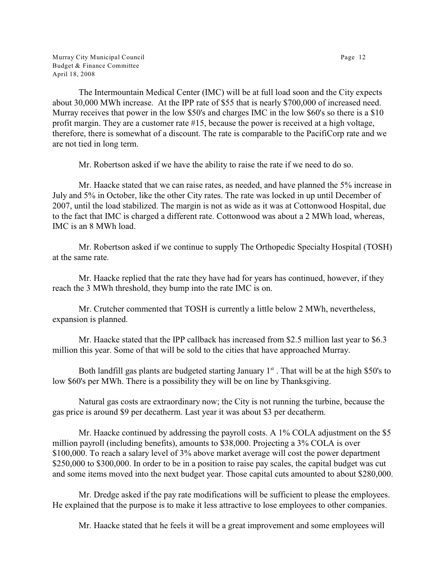Murray City Municipal Council **Page 12** Budget & Finance Committee April 18, 2008

The Intermountain Medical Center (IMC) will be at full load soon and the City expects about 30,000 MWh increase. At the IPP rate of \$55 that is nearly \$700,000 of increased need. Murray receives that power in the low \$50's and charges IMC in the low \$60's so there is a \$10 profit margin. They are a customer rate #15, because the power is received at a high voltage, therefore, there is somewhat of a discount. The rate is comparable to the PacifiCorp rate and we are not tied in long term.

Mr. Robertson asked if we have the ability to raise the rate if we need to do so.

Mr. Haacke stated that we can raise rates, as needed, and have planned the 5% increase in July and 5% in October, like the other City rates. The rate was locked in up until December of 2007, until the load stabilized. The margin is not as wide as it was at Cottonwood Hospital, due to the fact that IMC is charged a different rate. Cottonwood was about a 2 MWh load, whereas, IMC is an 8 MWh load.

Mr. Robertson asked if we continue to supply The Orthopedic Specialty Hospital (TOSH) at the same rate.

Mr. Haacke replied that the rate they have had for years has continued, however, if they reach the 3 MWh threshold, they bump into the rate IMC is on.

Mr. Crutcher commented that TOSH is currently a little below 2 MWh, nevertheless, expansion is planned.

Mr. Haacke stated that the IPP callback has increased from \$2.5 million last year to \$6.3 million this year. Some of that will be sold to the cities that have approached Murray.

Both landfill gas plants are budgeted starting January  $1<sup>st</sup>$ . That will be at the high \$50's to low \$60's per MWh. There is a possibility they will be on line by Thanksgiving.

Natural gas costs are extraordinary now; the City is not running the turbine, because the gas price is around \$9 per decatherm. Last year it was about \$3 per decatherm.

Mr. Haacke continued by addressing the payroll costs. A 1% COLA adjustment on the \$5 million payroll (including benefits), amounts to \$38,000. Projecting a 3% COLA is over \$100,000. To reach a salary level of 3% above market average will cost the power department \$250,000 to \$300,000. In order to be in a position to raise pay scales, the capital budget was cut and some items moved into the next budget year. Those capital cuts amounted to about \$280,000.

Mr. Dredge asked if the pay rate modifications will be sufficient to please the employees. He explained that the purpose is to make it less attractive to lose employees to other companies.

Mr. Haacke stated that he feels it will be a great improvement and some employees will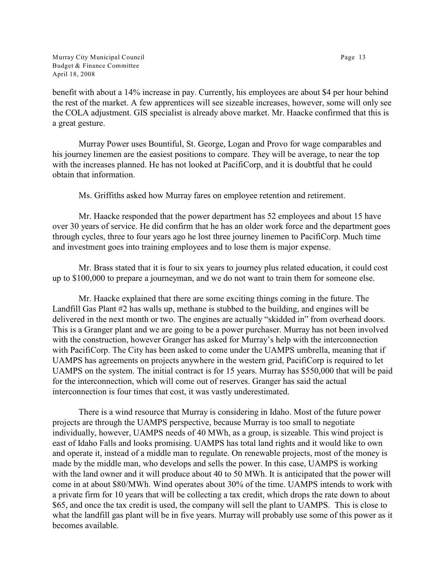Murray City Municipal Council **Page 13** Budget & Finance Committee April 18, 2008

benefit with about a 14% increase in pay. Currently, his employees are about \$4 per hour behind the rest of the market. A few apprentices will see sizeable increases, however, some will only see the COLA adjustment. GIS specialist is already above market. Mr. Haacke confirmed that this is a great gesture.

Murray Power uses Bountiful, St. George, Logan and Provo for wage comparables and his journey linemen are the easiest positions to compare. They will be average, to near the top with the increases planned. He has not looked at PacifiCorp, and it is doubtful that he could obtain that information.

Ms. Griffiths asked how Murray fares on employee retention and retirement.

Mr. Haacke responded that the power department has 52 employees and about 15 have over 30 years of service. He did confirm that he has an older work force and the department goes through cycles, three to four years ago he lost three journey linemen to PacifiCorp. Much time and investment goes into training employees and to lose them is major expense.

Mr. Brass stated that it is four to six years to journey plus related education, it could cost up to \$100,000 to prepare a journeyman, and we do not want to train them for someone else.

Mr. Haacke explained that there are some exciting things coming in the future. The Landfill Gas Plant #2 has walls up, methane is stubbed to the building, and engines will be delivered in the next month or two. The engines are actually "skidded in" from overhead doors. This is a Granger plant and we are going to be a power purchaser. Murray has not been involved with the construction, however Granger has asked for Murray's help with the interconnection with PacifiCorp. The City has been asked to come under the UAMPS umbrella, meaning that if UAMPS has agreements on projects anywhere in the western grid, PacifiCorp is required to let UAMPS on the system. The initial contract is for 15 years. Murray has \$550,000 that will be paid for the interconnection, which will come out of reserves. Granger has said the actual interconnection is four times that cost, it was vastly underestimated.

There is a wind resource that Murray is considering in Idaho. Most of the future power projects are through the UAMPS perspective, because Murray is too small to negotiate individually, however, UAMPS needs of 40 MWh, as a group, is sizeable. This wind project is east of Idaho Falls and looks promising. UAMPS has total land rights and it would like to own and operate it, instead of a middle man to regulate. On renewable projects, most of the money is made by the middle man, who develops and sells the power. In this case, UAMPS is working with the land owner and it will produce about 40 to 50 MWh. It is anticipated that the power will come in at about \$80/MWh. Wind operates about 30% of the time. UAMPS intends to work with a private firm for 10 years that will be collecting a tax credit, which drops the rate down to about \$65, and once the tax credit is used, the company will sell the plant to UAMPS. This is close to what the landfill gas plant will be in five years. Murray will probably use some of this power as it becomes available.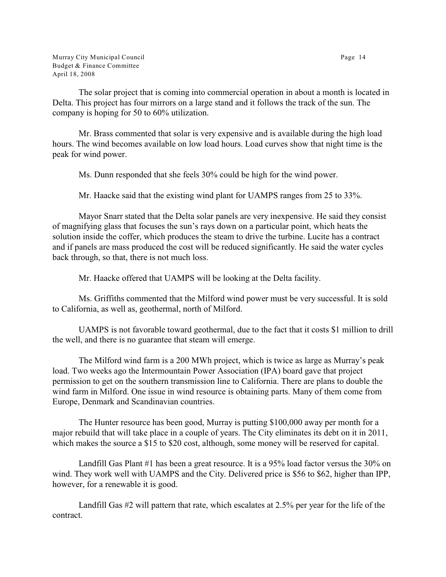Murray City Municipal Council Page 14 Budget & Finance Committee April 18, 2008

The solar project that is coming into commercial operation in about a month is located in Delta. This project has four mirrors on a large stand and it follows the track of the sun. The company is hoping for 50 to 60% utilization.

Mr. Brass commented that solar is very expensive and is available during the high load hours. The wind becomes available on low load hours. Load curves show that night time is the peak for wind power.

Ms. Dunn responded that she feels 30% could be high for the wind power.

Mr. Haacke said that the existing wind plant for UAMPS ranges from 25 to 33%.

Mayor Snarr stated that the Delta solar panels are very inexpensive. He said they consist of magnifying glass that focuses the sun's rays down on a particular point, which heats the solution inside the coffer, which produces the steam to drive the turbine. Lucite has a contract and if panels are mass produced the cost will be reduced significantly. He said the water cycles back through, so that, there is not much loss.

Mr. Haacke offered that UAMPS will be looking at the Delta facility.

Ms. Griffiths commented that the Milford wind power must be very successful. It is sold to California, as well as, geothermal, north of Milford.

UAMPS is not favorable toward geothermal, due to the fact that it costs \$1 million to drill the well, and there is no guarantee that steam will emerge.

The Milford wind farm is a 200 MWh project, which is twice as large as Murray's peak load. Two weeks ago the Intermountain Power Association (IPA) board gave that project permission to get on the southern transmission line to California. There are plans to double the wind farm in Milford. One issue in wind resource is obtaining parts. Many of them come from Europe, Denmark and Scandinavian countries.

The Hunter resource has been good, Murray is putting \$100,000 away per month for a major rebuild that will take place in a couple of years. The City eliminates its debt on it in 2011, which makes the source a \$15 to \$20 cost, although, some money will be reserved for capital.

Landfill Gas Plant #1 has been a great resource. It is a 95% load factor versus the 30% on wind. They work well with UAMPS and the City. Delivered price is \$56 to \$62, higher than IPP, however, for a renewable it is good.

Landfill Gas #2 will pattern that rate, which escalates at 2.5% per year for the life of the contract.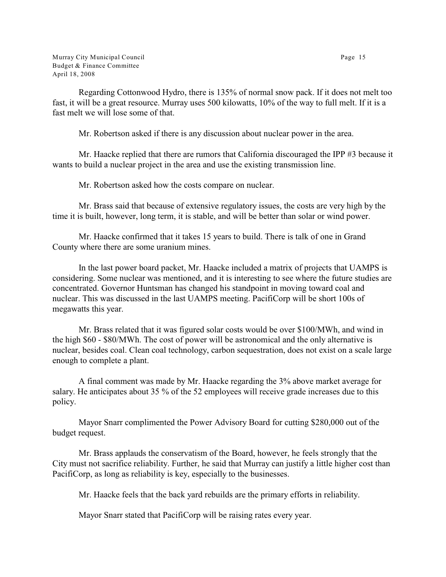Regarding Cottonwood Hydro, there is 135% of normal snow pack. If it does not melt too fast, it will be a great resource. Murray uses 500 kilowatts, 10% of the way to full melt. If it is a fast melt we will lose some of that.

Mr. Robertson asked if there is any discussion about nuclear power in the area.

Mr. Haacke replied that there are rumors that California discouraged the IPP #3 because it wants to build a nuclear project in the area and use the existing transmission line.

Mr. Robertson asked how the costs compare on nuclear.

Mr. Brass said that because of extensive regulatory issues, the costs are very high by the time it is built, however, long term, it is stable, and will be better than solar or wind power.

Mr. Haacke confirmed that it takes 15 years to build. There is talk of one in Grand County where there are some uranium mines.

In the last power board packet, Mr. Haacke included a matrix of projects that UAMPS is considering. Some nuclear was mentioned, and it is interesting to see where the future studies are concentrated. Governor Huntsman has changed his standpoint in moving toward coal and nuclear. This was discussed in the last UAMPS meeting. PacifiCorp will be short 100s of megawatts this year.

Mr. Brass related that it was figured solar costs would be over \$100/MWh, and wind in the high \$60 - \$80/MWh. The cost of power will be astronomical and the only alternative is nuclear, besides coal. Clean coal technology, carbon sequestration, does not exist on a scale large enough to complete a plant.

A final comment was made by Mr. Haacke regarding the 3% above market average for salary. He anticipates about 35 % of the 52 employees will receive grade increases due to this policy.

Mayor Snarr complimented the Power Advisory Board for cutting \$280,000 out of the budget request.

Mr. Brass applauds the conservatism of the Board, however, he feels strongly that the City must not sacrifice reliability. Further, he said that Murray can justify a little higher cost than PacifiCorp, as long as reliability is key, especially to the businesses.

Mr. Haacke feels that the back yard rebuilds are the primary efforts in reliability.

Mayor Snarr stated that PacifiCorp will be raising rates every year.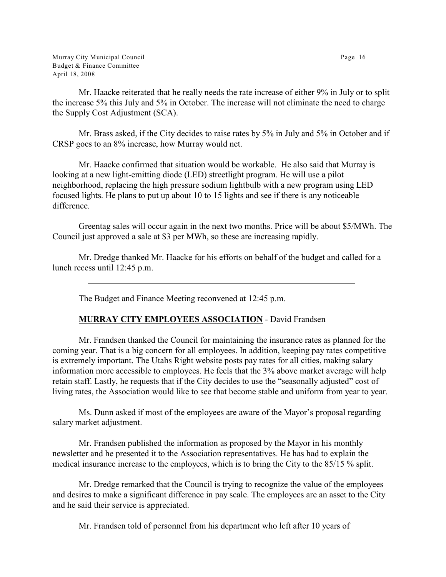Mr. Haacke reiterated that he really needs the rate increase of either 9% in July or to split the increase 5% this July and 5% in October. The increase will not eliminate the need to charge the Supply Cost Adjustment (SCA).

Mr. Brass asked, if the City decides to raise rates by 5% in July and 5% in October and if CRSP goes to an 8% increase, how Murray would net.

Mr. Haacke confirmed that situation would be workable. He also said that Murray is looking at a new light-emitting diode (LED) streetlight program. He will use a pilot neighborhood, replacing the high pressure sodium lightbulb with a new program using LED focused lights. He plans to put up about 10 to 15 lights and see if there is any noticeable difference.

Greentag sales will occur again in the next two months. Price will be about \$5/MWh. The Council just approved a sale at \$3 per MWh, so these are increasing rapidly.

Mr. Dredge thanked Mr. Haacke for his efforts on behalf of the budget and called for a lunch recess until 12:45 p.m.

The Budget and Finance Meeting reconvened at 12:45 p.m.

## **MURRAY CITY EMPLOYEES ASSOCIATION** - David Frandsen

Mr. Frandsen thanked the Council for maintaining the insurance rates as planned for the coming year. That is a big concern for all employees. In addition, keeping pay rates competitive is extremely important. The Utahs Right website posts pay rates for all cities, making salary information more accessible to employees. He feels that the 3% above market average will help retain staff. Lastly, he requests that if the City decides to use the "seasonally adjusted" cost of living rates, the Association would like to see that become stable and uniform from year to year.

Ms. Dunn asked if most of the employees are aware of the Mayor's proposal regarding salary market adjustment.

Mr. Frandsen published the information as proposed by the Mayor in his monthly newsletter and he presented it to the Association representatives. He has had to explain the medical insurance increase to the employees, which is to bring the City to the 85/15 % split.

Mr. Dredge remarked that the Council is trying to recognize the value of the employees and desires to make a significant difference in pay scale. The employees are an asset to the City and he said their service is appreciated.

Mr. Frandsen told of personnel from his department who left after 10 years of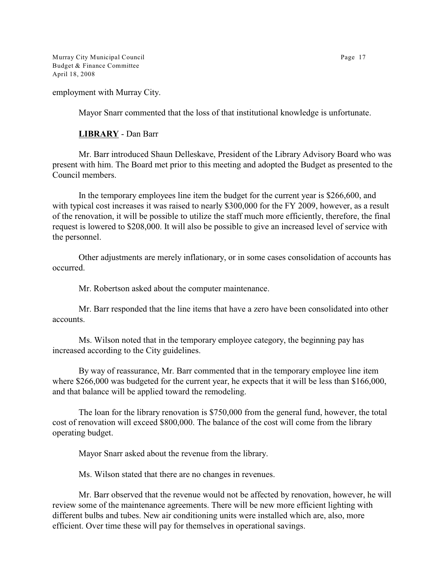Murray City Municipal Council **Page 17** Budget & Finance Committee April 18, 2008

employment with Murray City.

Mayor Snarr commented that the loss of that institutional knowledge is unfortunate.

### **LIBRARY** - Dan Barr

Mr. Barr introduced Shaun Delleskave, President of the Library Advisory Board who was present with him. The Board met prior to this meeting and adopted the Budget as presented to the Council members.

In the temporary employees line item the budget for the current year is \$266,600, and with typical cost increases it was raised to nearly \$300,000 for the FY 2009, however, as a result of the renovation, it will be possible to utilize the staff much more efficiently, therefore, the final request is lowered to \$208,000. It will also be possible to give an increased level of service with the personnel.

Other adjustments are merely inflationary, or in some cases consolidation of accounts has occurred.

Mr. Robertson asked about the computer maintenance.

Mr. Barr responded that the line items that have a zero have been consolidated into other accounts.

Ms. Wilson noted that in the temporary employee category, the beginning pay has increased according to the City guidelines.

By way of reassurance, Mr. Barr commented that in the temporary employee line item where \$266,000 was budgeted for the current year, he expects that it will be less than \$166,000, and that balance will be applied toward the remodeling.

The loan for the library renovation is \$750,000 from the general fund, however, the total cost of renovation will exceed \$800,000. The balance of the cost will come from the library operating budget.

Mayor Snarr asked about the revenue from the library.

Ms. Wilson stated that there are no changes in revenues.

Mr. Barr observed that the revenue would not be affected by renovation, however, he will review some of the maintenance agreements. There will be new more efficient lighting with different bulbs and tubes. New air conditioning units were installed which are, also, more efficient. Over time these will pay for themselves in operational savings.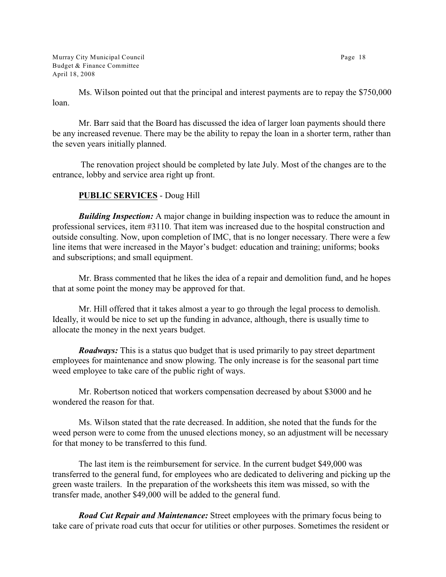Murray City Municipal Council Page 18 Budget & Finance Committee April 18, 2008

Ms. Wilson pointed out that the principal and interest payments are to repay the \$750,000 loan.

Mr. Barr said that the Board has discussed the idea of larger loan payments should there be any increased revenue. There may be the ability to repay the loan in a shorter term, rather than the seven years initially planned.

 The renovation project should be completed by late July. Most of the changes are to the entrance, lobby and service area right up front.

# **PUBLIC SERVICES** - Doug Hill

*Building Inspection:* A major change in building inspection was to reduce the amount in professional services, item #3110. That item was increased due to the hospital construction and outside consulting. Now, upon completion of IMC, that is no longer necessary. There were a few line items that were increased in the Mayor's budget: education and training; uniforms; books and subscriptions; and small equipment.

Mr. Brass commented that he likes the idea of a repair and demolition fund, and he hopes that at some point the money may be approved for that.

Mr. Hill offered that it takes almost a year to go through the legal process to demolish. Ideally, it would be nice to set up the funding in advance, although, there is usually time to allocate the money in the next years budget.

*Roadways:* This is a status quo budget that is used primarily to pay street department employees for maintenance and snow plowing. The only increase is for the seasonal part time weed employee to take care of the public right of ways.

Mr. Robertson noticed that workers compensation decreased by about \$3000 and he wondered the reason for that.

Ms. Wilson stated that the rate decreased. In addition, she noted that the funds for the weed person were to come from the unused elections money, so an adjustment will be necessary for that money to be transferred to this fund.

The last item is the reimbursement for service. In the current budget \$49,000 was transferred to the general fund, for employees who are dedicated to delivering and picking up the green waste trailers. In the preparation of the worksheets this item was missed, so with the transfer made, another \$49,000 will be added to the general fund.

*Road Cut Repair and Maintenance:* Street employees with the primary focus being to take care of private road cuts that occur for utilities or other purposes. Sometimes the resident or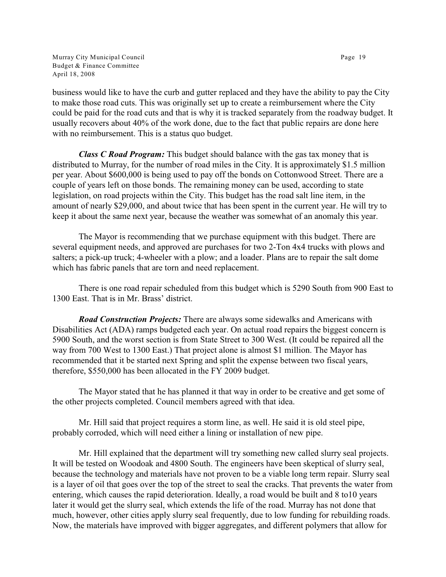Murray City Municipal Council Page 19 Budget & Finance Committee April 18, 2008

business would like to have the curb and gutter replaced and they have the ability to pay the City to make those road cuts. This was originally set up to create a reimbursement where the City could be paid for the road cuts and that is why it is tracked separately from the roadway budget. It usually recovers about 40% of the work done, due to the fact that public repairs are done here with no reimbursement. This is a status quo budget.

*Class C Road Program:* This budget should balance with the gas tax money that is distributed to Murray, for the number of road miles in the City. It is approximately \$1.5 million per year. About \$600,000 is being used to pay off the bonds on Cottonwood Street. There are a couple of years left on those bonds. The remaining money can be used, according to state legislation, on road projects within the City. This budget has the road salt line item, in the amount of nearly \$29,000, and about twice that has been spent in the current year. He will try to keep it about the same next year, because the weather was somewhat of an anomaly this year.

The Mayor is recommending that we purchase equipment with this budget. There are several equipment needs, and approved are purchases for two 2-Ton 4x4 trucks with plows and salters; a pick-up truck; 4-wheeler with a plow; and a loader. Plans are to repair the salt dome which has fabric panels that are torn and need replacement.

There is one road repair scheduled from this budget which is 5290 South from 900 East to 1300 East. That is in Mr. Brass' district.

*Road Construction Projects:* There are always some sidewalks and Americans with Disabilities Act (ADA) ramps budgeted each year. On actual road repairs the biggest concern is 5900 South, and the worst section is from State Street to 300 West. (It could be repaired all the way from 700 West to 1300 East.) That project alone is almost \$1 million. The Mayor has recommended that it be started next Spring and split the expense between two fiscal years, therefore, \$550,000 has been allocated in the FY 2009 budget.

The Mayor stated that he has planned it that way in order to be creative and get some of the other projects completed. Council members agreed with that idea.

Mr. Hill said that project requires a storm line, as well. He said it is old steel pipe, probably corroded, which will need either a lining or installation of new pipe.

Mr. Hill explained that the department will try something new called slurry seal projects. It will be tested on Woodoak and 4800 South. The engineers have been skeptical of slurry seal, because the technology and materials have not proven to be a viable long term repair. Slurry seal is a layer of oil that goes over the top of the street to seal the cracks. That prevents the water from entering, which causes the rapid deterioration. Ideally, a road would be built and 8 to10 years later it would get the slurry seal, which extends the life of the road. Murray has not done that much, however, other cities apply slurry seal frequently, due to low funding for rebuilding roads. Now, the materials have improved with bigger aggregates, and different polymers that allow for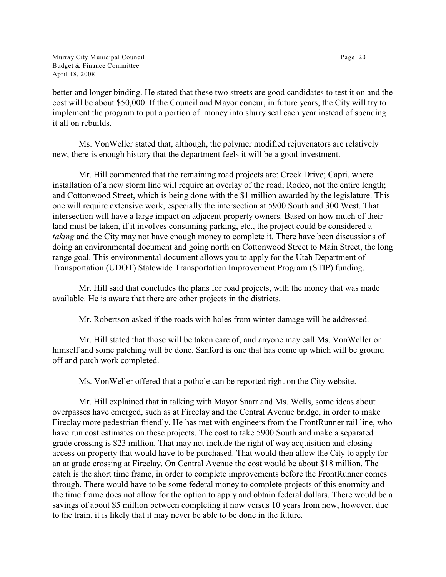Murray City Municipal Council Page 20 Budget & Finance Committee April 18, 2008

better and longer binding. He stated that these two streets are good candidates to test it on and the cost will be about \$50,000. If the Council and Mayor concur, in future years, the City will try to implement the program to put a portion of money into slurry seal each year instead of spending it all on rebuilds.

Ms. VonWeller stated that, although, the polymer modified rejuvenators are relatively new, there is enough history that the department feels it will be a good investment.

Mr. Hill commented that the remaining road projects are: Creek Drive; Capri, where installation of a new storm line will require an overlay of the road; Rodeo, not the entire length; and Cottonwood Street, which is being done with the \$1 million awarded by the legislature. This one will require extensive work, especially the intersection at 5900 South and 300 West. That intersection will have a large impact on adjacent property owners. Based on how much of their land must be taken, if it involves consuming parking, etc., the project could be considered a *taking* and the City may not have enough money to complete it. There have been discussions of doing an environmental document and going north on Cottonwood Street to Main Street, the long range goal. This environmental document allows you to apply for the Utah Department of Transportation (UDOT) Statewide Transportation Improvement Program (STIP) funding.

Mr. Hill said that concludes the plans for road projects, with the money that was made available. He is aware that there are other projects in the districts.

Mr. Robertson asked if the roads with holes from winter damage will be addressed.

Mr. Hill stated that those will be taken care of, and anyone may call Ms. VonWeller or himself and some patching will be done. Sanford is one that has come up which will be ground off and patch work completed.

Ms. VonWeller offered that a pothole can be reported right on the City website.

Mr. Hill explained that in talking with Mayor Snarr and Ms. Wells, some ideas about overpasses have emerged, such as at Fireclay and the Central Avenue bridge, in order to make Fireclay more pedestrian friendly. He has met with engineers from the FrontRunner rail line, who have run cost estimates on these projects. The cost to take 5900 South and make a separated grade crossing is \$23 million. That may not include the right of way acquisition and closing access on property that would have to be purchased. That would then allow the City to apply for an at grade crossing at Fireclay. On Central Avenue the cost would be about \$18 million. The catch is the short time frame, in order to complete improvements before the FrontRunner comes through. There would have to be some federal money to complete projects of this enormity and the time frame does not allow for the option to apply and obtain federal dollars. There would be a savings of about \$5 million between completing it now versus 10 years from now, however, due to the train, it is likely that it may never be able to be done in the future.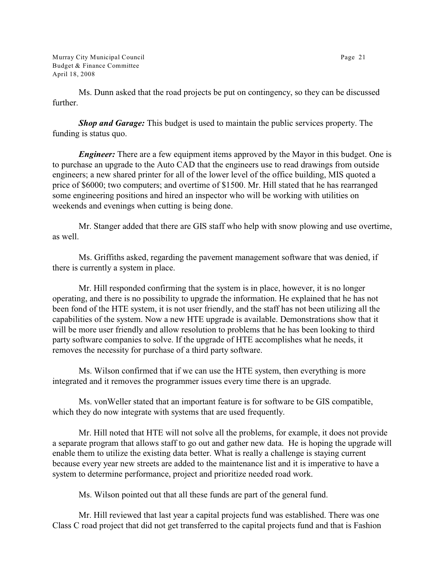Murray City Municipal Council Page 21 Budget & Finance Committee April 18, 2008

Ms. Dunn asked that the road projects be put on contingency, so they can be discussed further.

*Shop and Garage:* This budget is used to maintain the public services property. The funding is status quo.

*Engineer:* There are a few equipment items approved by the Mayor in this budget. One is to purchase an upgrade to the Auto CAD that the engineers use to read drawings from outside engineers; a new shared printer for all of the lower level of the office building, MIS quoted a price of \$6000; two computers; and overtime of \$1500. Mr. Hill stated that he has rearranged some engineering positions and hired an inspector who will be working with utilities on weekends and evenings when cutting is being done.

Mr. Stanger added that there are GIS staff who help with snow plowing and use overtime, as well.

Ms. Griffiths asked, regarding the pavement management software that was denied, if there is currently a system in place.

Mr. Hill responded confirming that the system is in place, however, it is no longer operating, and there is no possibility to upgrade the information. He explained that he has not been fond of the HTE system, it is not user friendly, and the staff has not been utilizing all the capabilities of the system. Now a new HTE upgrade is available. Demonstrations show that it will be more user friendly and allow resolution to problems that he has been looking to third party software companies to solve. If the upgrade of HTE accomplishes what he needs, it removes the necessity for purchase of a third party software.

Ms. Wilson confirmed that if we can use the HTE system, then everything is more integrated and it removes the programmer issues every time there is an upgrade.

Ms. vonWeller stated that an important feature is for software to be GIS compatible, which they do now integrate with systems that are used frequently.

Mr. Hill noted that HTE will not solve all the problems, for example, it does not provide a separate program that allows staff to go out and gather new data. He is hoping the upgrade will enable them to utilize the existing data better. What is really a challenge is staying current because every year new streets are added to the maintenance list and it is imperative to have a system to determine performance, project and prioritize needed road work.

Ms. Wilson pointed out that all these funds are part of the general fund.

Mr. Hill reviewed that last year a capital projects fund was established. There was one Class C road project that did not get transferred to the capital projects fund and that is Fashion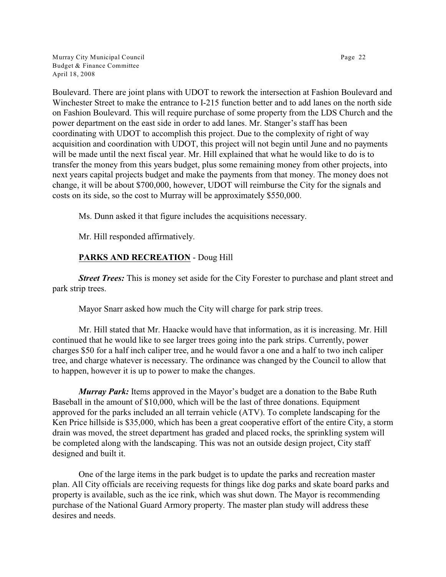Murray City Municipal Council Page 22 Budget & Finance Committee April 18, 2008

Boulevard. There are joint plans with UDOT to rework the intersection at Fashion Boulevard and Winchester Street to make the entrance to I-215 function better and to add lanes on the north side on Fashion Boulevard. This will require purchase of some property from the LDS Church and the power department on the east side in order to add lanes. Mr. Stanger's staff has been coordinating with UDOT to accomplish this project. Due to the complexity of right of way acquisition and coordination with UDOT, this project will not begin until June and no payments will be made until the next fiscal year. Mr. Hill explained that what he would like to do is to transfer the money from this years budget, plus some remaining money from other projects, into next years capital projects budget and make the payments from that money. The money does not change, it will be about \$700,000, however, UDOT will reimburse the City for the signals and costs on its side, so the cost to Murray will be approximately \$550,000.

Ms. Dunn asked it that figure includes the acquisitions necessary.

Mr. Hill responded affirmatively.

# **PARKS AND RECREATION** - Doug Hill

*Street Trees:* This is money set aside for the City Forester to purchase and plant street and park strip trees.

Mayor Snarr asked how much the City will charge for park strip trees.

Mr. Hill stated that Mr. Haacke would have that information, as it is increasing. Mr. Hill continued that he would like to see larger trees going into the park strips. Currently, power charges \$50 for a half inch caliper tree, and he would favor a one and a half to two inch caliper tree, and charge whatever is necessary. The ordinance was changed by the Council to allow that to happen, however it is up to power to make the changes.

*Murray Park:* Items approved in the Mayor's budget are a donation to the Babe Ruth Baseball in the amount of \$10,000, which will be the last of three donations. Equipment approved for the parks included an all terrain vehicle (ATV). To complete landscaping for the Ken Price hillside is \$35,000, which has been a great cooperative effort of the entire City, a storm drain was moved, the street department has graded and placed rocks, the sprinkling system will be completed along with the landscaping. This was not an outside design project, City staff designed and built it.

One of the large items in the park budget is to update the parks and recreation master plan. All City officials are receiving requests for things like dog parks and skate board parks and property is available, such as the ice rink, which was shut down. The Mayor is recommending purchase of the National Guard Armory property. The master plan study will address these desires and needs.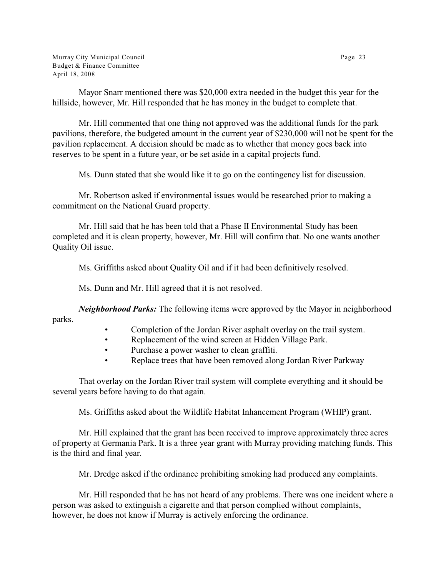Murray City Municipal Council Page 23 Budget & Finance Committee April 18, 2008

Mayor Snarr mentioned there was \$20,000 extra needed in the budget this year for the hillside, however, Mr. Hill responded that he has money in the budget to complete that.

Mr. Hill commented that one thing not approved was the additional funds for the park pavilions, therefore, the budgeted amount in the current year of \$230,000 will not be spent for the pavilion replacement. A decision should be made as to whether that money goes back into reserves to be spent in a future year, or be set aside in a capital projects fund.

Ms. Dunn stated that she would like it to go on the contingency list for discussion.

Mr. Robertson asked if environmental issues would be researched prior to making a commitment on the National Guard property.

Mr. Hill said that he has been told that a Phase II Environmental Study has been completed and it is clean property, however, Mr. Hill will confirm that. No one wants another Quality Oil issue.

Ms. Griffiths asked about Quality Oil and if it had been definitively resolved.

Ms. Dunn and Mr. Hill agreed that it is not resolved.

*Neighborhood Parks:* The following items were approved by the Mayor in neighborhood parks.

- Completion of the Jordan River asphalt overlay on the trail system.
- Replacement of the wind screen at Hidden Village Park.
- Purchase a power washer to clean graffiti.
- Replace trees that have been removed along Jordan River Parkway

That overlay on the Jordan River trail system will complete everything and it should be several years before having to do that again.

Ms. Griffiths asked about the Wildlife Habitat Inhancement Program (WHIP) grant.

Mr. Hill explained that the grant has been received to improve approximately three acres of property at Germania Park. It is a three year grant with Murray providing matching funds. This is the third and final year.

Mr. Dredge asked if the ordinance prohibiting smoking had produced any complaints.

Mr. Hill responded that he has not heard of any problems. There was one incident where a person was asked to extinguish a cigarette and that person complied without complaints, however, he does not know if Murray is actively enforcing the ordinance.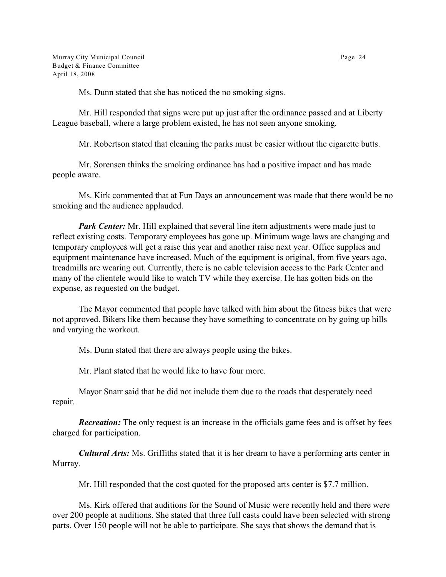Ms. Dunn stated that she has noticed the no smoking signs.

Mr. Hill responded that signs were put up just after the ordinance passed and at Liberty League baseball, where a large problem existed, he has not seen anyone smoking.

Mr. Robertson stated that cleaning the parks must be easier without the cigarette butts.

Mr. Sorensen thinks the smoking ordinance has had a positive impact and has made people aware.

Ms. Kirk commented that at Fun Days an announcement was made that there would be no smoking and the audience applauded.

*Park Center:* Mr. Hill explained that several line item adjustments were made just to reflect existing costs. Temporary employees has gone up. Minimum wage laws are changing and temporary employees will get a raise this year and another raise next year. Office supplies and equipment maintenance have increased. Much of the equipment is original, from five years ago, treadmills are wearing out. Currently, there is no cable television access to the Park Center and many of the clientele would like to watch TV while they exercise. He has gotten bids on the expense, as requested on the budget.

The Mayor commented that people have talked with him about the fitness bikes that were not approved. Bikers like them because they have something to concentrate on by going up hills and varying the workout.

Ms. Dunn stated that there are always people using the bikes.

Mr. Plant stated that he would like to have four more.

Mayor Snarr said that he did not include them due to the roads that desperately need repair.

*Recreation:* The only request is an increase in the officials game fees and is offset by fees charged for participation.

*Cultural Arts:* Ms. Griffiths stated that it is her dream to have a performing arts center in Murray.

Mr. Hill responded that the cost quoted for the proposed arts center is \$7.7 million.

Ms. Kirk offered that auditions for the Sound of Music were recently held and there were over 200 people at auditions. She stated that three full casts could have been selected with strong parts. Over 150 people will not be able to participate. She says that shows the demand that is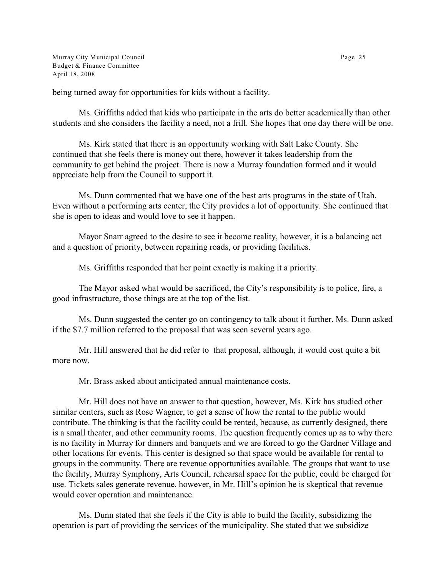Murray City Municipal Council **Page 25** Budget & Finance Committee April 18, 2008

being turned away for opportunities for kids without a facility.

Ms. Griffiths added that kids who participate in the arts do better academically than other students and she considers the facility a need, not a frill. She hopes that one day there will be one.

Ms. Kirk stated that there is an opportunity working with Salt Lake County. She continued that she feels there is money out there, however it takes leadership from the community to get behind the project. There is now a Murray foundation formed and it would appreciate help from the Council to support it.

Ms. Dunn commented that we have one of the best arts programs in the state of Utah. Even without a performing arts center, the City provides a lot of opportunity. She continued that she is open to ideas and would love to see it happen.

Mayor Snarr agreed to the desire to see it become reality, however, it is a balancing act and a question of priority, between repairing roads, or providing facilities.

Ms. Griffiths responded that her point exactly is making it a priority.

The Mayor asked what would be sacrificed, the City's responsibility is to police, fire, a good infrastructure, those things are at the top of the list.

Ms. Dunn suggested the center go on contingency to talk about it further. Ms. Dunn asked if the \$7.7 million referred to the proposal that was seen several years ago.

Mr. Hill answered that he did refer to that proposal, although, it would cost quite a bit more now.

Mr. Brass asked about anticipated annual maintenance costs.

Mr. Hill does not have an answer to that question, however, Ms. Kirk has studied other similar centers, such as Rose Wagner, to get a sense of how the rental to the public would contribute. The thinking is that the facility could be rented, because, as currently designed, there is a small theater, and other community rooms. The question frequently comes up as to why there is no facility in Murray for dinners and banquets and we are forced to go the Gardner Village and other locations for events. This center is designed so that space would be available for rental to groups in the community. There are revenue opportunities available. The groups that want to use the facility, Murray Symphony, Arts Council, rehearsal space for the public, could be charged for use. Tickets sales generate revenue, however, in Mr. Hill's opinion he is skeptical that revenue would cover operation and maintenance.

Ms. Dunn stated that she feels if the City is able to build the facility, subsidizing the operation is part of providing the services of the municipality. She stated that we subsidize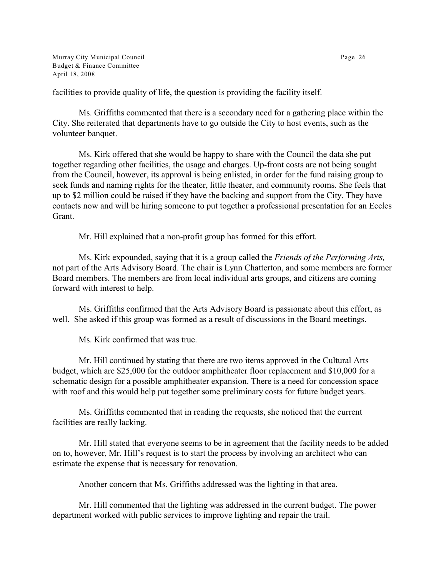Murray City Municipal Council Page 26 Budget & Finance Committee April 18, 2008

facilities to provide quality of life, the question is providing the facility itself.

Ms. Griffiths commented that there is a secondary need for a gathering place within the City. She reiterated that departments have to go outside the City to host events, such as the volunteer banquet.

Ms. Kirk offered that she would be happy to share with the Council the data she put together regarding other facilities, the usage and charges. Up-front costs are not being sought from the Council, however, its approval is being enlisted, in order for the fund raising group to seek funds and naming rights for the theater, little theater, and community rooms. She feels that up to \$2 million could be raised if they have the backing and support from the City. They have contacts now and will be hiring someone to put together a professional presentation for an Eccles Grant.

Mr. Hill explained that a non-profit group has formed for this effort.

Ms. Kirk expounded, saying that it is a group called the *Friends of the Performing Arts,* not part of the Arts Advisory Board. The chair is Lynn Chatterton, and some members are former Board members. The members are from local individual arts groups, and citizens are coming forward with interest to help.

Ms. Griffiths confirmed that the Arts Advisory Board is passionate about this effort, as well. She asked if this group was formed as a result of discussions in the Board meetings.

Ms. Kirk confirmed that was true.

Mr. Hill continued by stating that there are two items approved in the Cultural Arts budget, which are \$25,000 for the outdoor amphitheater floor replacement and \$10,000 for a schematic design for a possible amphitheater expansion. There is a need for concession space with roof and this would help put together some preliminary costs for future budget years.

Ms. Griffiths commented that in reading the requests, she noticed that the current facilities are really lacking.

Mr. Hill stated that everyone seems to be in agreement that the facility needs to be added on to, however, Mr. Hill's request is to start the process by involving an architect who can estimate the expense that is necessary for renovation.

Another concern that Ms. Griffiths addressed was the lighting in that area.

Mr. Hill commented that the lighting was addressed in the current budget. The power department worked with public services to improve lighting and repair the trail.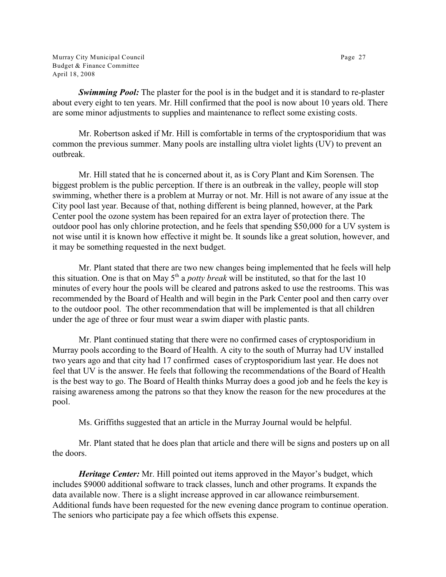Murray City Municipal Council **Page 27** Budget & Finance Committee April 18, 2008

*Swimming Pool:* The plaster for the pool is in the budget and it is standard to re-plaster about every eight to ten years. Mr. Hill confirmed that the pool is now about 10 years old. There are some minor adjustments to supplies and maintenance to reflect some existing costs.

Mr. Robertson asked if Mr. Hill is comfortable in terms of the cryptosporidium that was common the previous summer. Many pools are installing ultra violet lights (UV) to prevent an outbreak.

Mr. Hill stated that he is concerned about it, as is Cory Plant and Kim Sorensen. The biggest problem is the public perception. If there is an outbreak in the valley, people will stop swimming, whether there is a problem at Murray or not. Mr. Hill is not aware of any issue at the City pool last year. Because of that, nothing different is being planned, however, at the Park Center pool the ozone system has been repaired for an extra layer of protection there. The outdoor pool has only chlorine protection, and he feels that spending \$50,000 for a UV system is not wise until it is known how effective it might be. It sounds like a great solution, however, and it may be something requested in the next budget.

Mr. Plant stated that there are two new changes being implemented that he feels will help this situation. One is that on May  $5<sup>th</sup>$  a *potty break* will be instituted, so that for the last 10 minutes of every hour the pools will be cleared and patrons asked to use the restrooms. This was recommended by the Board of Health and will begin in the Park Center pool and then carry over to the outdoor pool. The other recommendation that will be implemented is that all children under the age of three or four must wear a swim diaper with plastic pants.

Mr. Plant continued stating that there were no confirmed cases of cryptosporidium in Murray pools according to the Board of Health. A city to the south of Murray had UV installed two years ago and that city had 17 confirmed cases of cryptosporidium last year. He does not feel that UV is the answer. He feels that following the recommendations of the Board of Health is the best way to go. The Board of Health thinks Murray does a good job and he feels the key is raising awareness among the patrons so that they know the reason for the new procedures at the pool.

Ms. Griffiths suggested that an article in the Murray Journal would be helpful.

Mr. Plant stated that he does plan that article and there will be signs and posters up on all the doors.

*Heritage Center:* Mr. Hill pointed out items approved in the Mayor's budget, which includes \$9000 additional software to track classes, lunch and other programs. It expands the data available now. There is a slight increase approved in car allowance reimbursement. Additional funds have been requested for the new evening dance program to continue operation. The seniors who participate pay a fee which offsets this expense.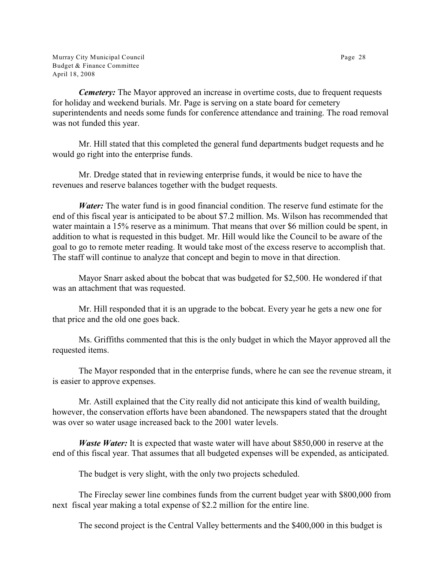Murray City Municipal Council Page 28 Budget & Finance Committee April 18, 2008

*Cemetery:* The Mayor approved an increase in overtime costs, due to frequent requests for holiday and weekend burials. Mr. Page is serving on a state board for cemetery superintendents and needs some funds for conference attendance and training. The road removal was not funded this year.

Mr. Hill stated that this completed the general fund departments budget requests and he would go right into the enterprise funds.

Mr. Dredge stated that in reviewing enterprise funds, it would be nice to have the revenues and reserve balances together with the budget requests.

*Water:* The water fund is in good financial condition. The reserve fund estimate for the end of this fiscal year is anticipated to be about \$7.2 million. Ms. Wilson has recommended that water maintain a 15% reserve as a minimum. That means that over \$6 million could be spent, in addition to what is requested in this budget. Mr. Hill would like the Council to be aware of the goal to go to remote meter reading. It would take most of the excess reserve to accomplish that. The staff will continue to analyze that concept and begin to move in that direction.

Mayor Snarr asked about the bobcat that was budgeted for \$2,500. He wondered if that was an attachment that was requested.

Mr. Hill responded that it is an upgrade to the bobcat. Every year he gets a new one for that price and the old one goes back.

Ms. Griffiths commented that this is the only budget in which the Mayor approved all the requested items.

The Mayor responded that in the enterprise funds, where he can see the revenue stream, it is easier to approve expenses.

Mr. Astill explained that the City really did not anticipate this kind of wealth building, however, the conservation efforts have been abandoned. The newspapers stated that the drought was over so water usage increased back to the 2001 water levels.

*Waste Water*: It is expected that waste water will have about \$850,000 in reserve at the end of this fiscal year. That assumes that all budgeted expenses will be expended, as anticipated.

The budget is very slight, with the only two projects scheduled.

The Fireclay sewer line combines funds from the current budget year with \$800,000 from next fiscal year making a total expense of \$2.2 million for the entire line.

The second project is the Central Valley betterments and the \$400,000 in this budget is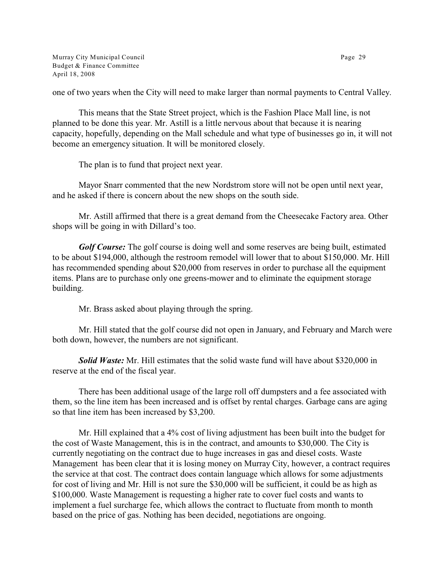Murray City Municipal Council Page 29 Budget & Finance Committee April 18, 2008

one of two years when the City will need to make larger than normal payments to Central Valley.

This means that the State Street project, which is the Fashion Place Mall line, is not planned to be done this year. Mr. Astill is a little nervous about that because it is nearing capacity, hopefully, depending on the Mall schedule and what type of businesses go in, it will not become an emergency situation. It will be monitored closely.

The plan is to fund that project next year.

Mayor Snarr commented that the new Nordstrom store will not be open until next year, and he asked if there is concern about the new shops on the south side.

Mr. Astill affirmed that there is a great demand from the Cheesecake Factory area. Other shops will be going in with Dillard's too.

*Golf Course:* The golf course is doing well and some reserves are being built, estimated to be about \$194,000, although the restroom remodel will lower that to about \$150,000. Mr. Hill has recommended spending about \$20,000 from reserves in order to purchase all the equipment items. Plans are to purchase only one greens-mower and to eliminate the equipment storage building.

Mr. Brass asked about playing through the spring.

Mr. Hill stated that the golf course did not open in January, and February and March were both down, however, the numbers are not significant.

**Solid Waste:** Mr. Hill estimates that the solid waste fund will have about \$320,000 in reserve at the end of the fiscal year.

There has been additional usage of the large roll off dumpsters and a fee associated with them, so the line item has been increased and is offset by rental charges. Garbage cans are aging so that line item has been increased by \$3,200.

Mr. Hill explained that a 4% cost of living adjustment has been built into the budget for the cost of Waste Management, this is in the contract, and amounts to \$30,000. The City is currently negotiating on the contract due to huge increases in gas and diesel costs. Waste Management has been clear that it is losing money on Murray City, however, a contract requires the service at that cost. The contract does contain language which allows for some adjustments for cost of living and Mr. Hill is not sure the \$30,000 will be sufficient, it could be as high as \$100,000. Waste Management is requesting a higher rate to cover fuel costs and wants to implement a fuel surcharge fee, which allows the contract to fluctuate from month to month based on the price of gas. Nothing has been decided, negotiations are ongoing.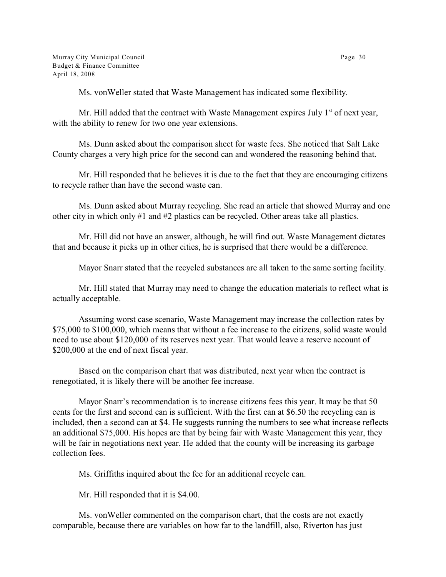Ms. vonWeller stated that Waste Management has indicated some flexibility.

Mr. Hill added that the contract with Waste Management expires July 1<sup>st</sup> of next year, with the ability to renew for two one year extensions.

Ms. Dunn asked about the comparison sheet for waste fees. She noticed that Salt Lake County charges a very high price for the second can and wondered the reasoning behind that.

Mr. Hill responded that he believes it is due to the fact that they are encouraging citizens to recycle rather than have the second waste can.

Ms. Dunn asked about Murray recycling. She read an article that showed Murray and one other city in which only #1 and #2 plastics can be recycled. Other areas take all plastics.

Mr. Hill did not have an answer, although, he will find out. Waste Management dictates that and because it picks up in other cities, he is surprised that there would be a difference.

Mayor Snarr stated that the recycled substances are all taken to the same sorting facility.

Mr. Hill stated that Murray may need to change the education materials to reflect what is actually acceptable.

Assuming worst case scenario, Waste Management may increase the collection rates by \$75,000 to \$100,000, which means that without a fee increase to the citizens, solid waste would need to use about \$120,000 of its reserves next year. That would leave a reserve account of \$200,000 at the end of next fiscal year.

Based on the comparison chart that was distributed, next year when the contract is renegotiated, it is likely there will be another fee increase.

Mayor Snarr's recommendation is to increase citizens fees this year. It may be that 50 cents for the first and second can is sufficient. With the first can at \$6.50 the recycling can is included, then a second can at \$4. He suggests running the numbers to see what increase reflects an additional \$75,000. His hopes are that by being fair with Waste Management this year, they will be fair in negotiations next year. He added that the county will be increasing its garbage collection fees.

Ms. Griffiths inquired about the fee for an additional recycle can.

Mr. Hill responded that it is \$4.00.

Ms. vonWeller commented on the comparison chart, that the costs are not exactly comparable, because there are variables on how far to the landfill, also, Riverton has just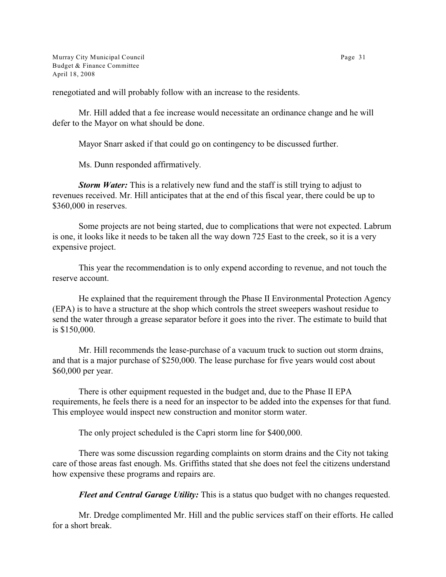Murray City Municipal Council Page 31 Budget & Finance Committee April 18, 2008

renegotiated and will probably follow with an increase to the residents.

Mr. Hill added that a fee increase would necessitate an ordinance change and he will defer to the Mayor on what should be done.

Mayor Snarr asked if that could go on contingency to be discussed further.

Ms. Dunn responded affirmatively.

*Storm Water:* This is a relatively new fund and the staff is still trying to adjust to revenues received. Mr. Hill anticipates that at the end of this fiscal year, there could be up to \$360,000 in reserves.

Some projects are not being started, due to complications that were not expected. Labrum is one, it looks like it needs to be taken all the way down 725 East to the creek, so it is a very expensive project.

This year the recommendation is to only expend according to revenue, and not touch the reserve account.

He explained that the requirement through the Phase II Environmental Protection Agency (EPA) is to have a structure at the shop which controls the street sweepers washout residue to send the water through a grease separator before it goes into the river. The estimate to build that is \$150,000.

Mr. Hill recommends the lease-purchase of a vacuum truck to suction out storm drains, and that is a major purchase of \$250,000. The lease purchase for five years would cost about \$60,000 per year.

There is other equipment requested in the budget and, due to the Phase II EPA requirements, he feels there is a need for an inspector to be added into the expenses for that fund. This employee would inspect new construction and monitor storm water.

The only project scheduled is the Capri storm line for \$400,000.

There was some discussion regarding complaints on storm drains and the City not taking care of those areas fast enough. Ms. Griffiths stated that she does not feel the citizens understand how expensive these programs and repairs are.

*Fleet and Central Garage Utility:* This is a status quo budget with no changes requested.

Mr. Dredge complimented Mr. Hill and the public services staff on their efforts. He called for a short break.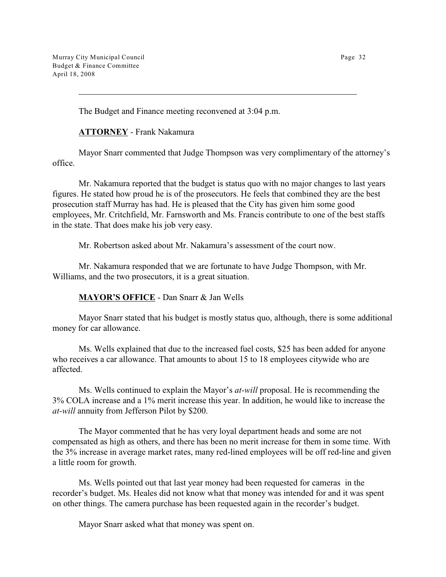Murray City Municipal Council Page 32 Budget & Finance Committee April 18, 2008

The Budget and Finance meeting reconvened at 3:04 p.m.

**ATTORNEY** - Frank Nakamura

Mayor Snarr commented that Judge Thompson was very complimentary of the attorney's office.

Mr. Nakamura reported that the budget is status quo with no major changes to last years figures. He stated how proud he is of the prosecutors. He feels that combined they are the best prosecution staff Murray has had. He is pleased that the City has given him some good employees, Mr. Critchfield, Mr. Farnsworth and Ms. Francis contribute to one of the best staffs in the state. That does make his job very easy.

Mr. Robertson asked about Mr. Nakamura's assessment of the court now.

Mr. Nakamura responded that we are fortunate to have Judge Thompson, with Mr. Williams, and the two prosecutors, it is a great situation.

**MAYOR'S OFFICE** - Dan Snarr & Jan Wells

Mayor Snarr stated that his budget is mostly status quo, although, there is some additional money for car allowance.

Ms. Wells explained that due to the increased fuel costs, \$25 has been added for anyone who receives a car allowance. That amounts to about 15 to 18 employees citywide who are affected.

Ms. Wells continued to explain the Mayor's *at-will* proposal. He is recommending the 3% COLA increase and a 1% merit increase this year. In addition, he would like to increase the *at-will* annuity from Jefferson Pilot by \$200.

The Mayor commented that he has very loyal department heads and some are not compensated as high as others, and there has been no merit increase for them in some time. With the 3% increase in average market rates, many red-lined employees will be off red-line and given a little room for growth.

Ms. Wells pointed out that last year money had been requested for cameras in the recorder's budget. Ms. Heales did not know what that money was intended for and it was spent on other things. The camera purchase has been requested again in the recorder's budget.

Mayor Snarr asked what that money was spent on.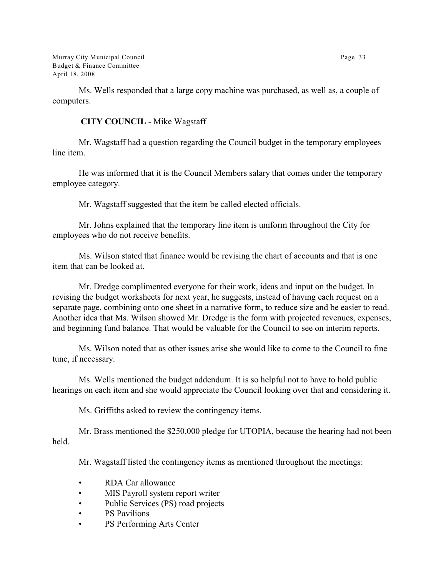Murray City Municipal Council Page 33 Budget & Finance Committee April 18, 2008

Ms. Wells responded that a large copy machine was purchased, as well as, a couple of computers.

# **CITY COUNCIL** - Mike Wagstaff

Mr. Wagstaff had a question regarding the Council budget in the temporary employees line item.

He was informed that it is the Council Members salary that comes under the temporary employee category.

Mr. Wagstaff suggested that the item be called elected officials.

Mr. Johns explained that the temporary line item is uniform throughout the City for employees who do not receive benefits.

Ms. Wilson stated that finance would be revising the chart of accounts and that is one item that can be looked at.

Mr. Dredge complimented everyone for their work, ideas and input on the budget. In revising the budget worksheets for next year, he suggests, instead of having each request on a separate page, combining onto one sheet in a narrative form, to reduce size and be easier to read. Another idea that Ms. Wilson showed Mr. Dredge is the form with projected revenues, expenses, and beginning fund balance. That would be valuable for the Council to see on interim reports.

Ms. Wilson noted that as other issues arise she would like to come to the Council to fine tune, if necessary.

Ms. Wells mentioned the budget addendum. It is so helpful not to have to hold public hearings on each item and she would appreciate the Council looking over that and considering it.

Ms. Griffiths asked to review the contingency items.

Mr. Brass mentioned the \$250,000 pledge for UTOPIA, because the hearing had not been held.

Mr. Wagstaff listed the contingency items as mentioned throughout the meetings:

- RDA Car allowance
- MIS Payroll system report writer
- Public Services (PS) road projects
- PS Pavilions
- PS Performing Arts Center